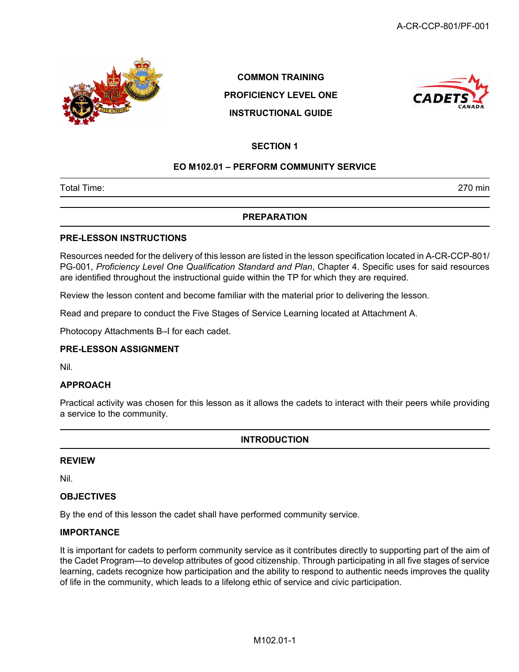

COMMON TRAINING PROFICIENCY LEVEL ONE INSTRUCTIONAL GUIDE



# SECTION 1

# EO M102.01 – PERFORM COMMUNITY SERVICE

Total Time: 270 min

# PREPARATION

### PRE-LESSON INSTRUCTIONS

Resources needed for the delivery of this lesson are listed in the lesson specification located in A-CR-CCP-801/ PG-001, Proficiency Level One Qualification Standard and Plan, Chapter 4. Specific uses for said resources are identified throughout the instructional guide within the TP for which they are required.

Review the lesson content and become familiar with the material prior to delivering the lesson.

Read and prepare to conduct the Five Stages of Service Learning located at Attachment A.

Photocopy Attachments B–I for each cadet.

# PRE-LESSON ASSIGNMENT

Nil.

# APPROACH

Practical activity was chosen for this lesson as it allows the cadets to interact with their peers while providing a service to the community.

# INTRODUCTION

#### REVIEW

Nil.

# **OBJECTIVES**

By the end of this lesson the cadet shall have performed community service.

# **IMPORTANCE**

It is important for cadets to perform community service as it contributes directly to supporting part of the aim of the Cadet Program—to develop attributes of good citizenship. Through participating in all five stages of service learning, cadets recognize how participation and the ability to respond to authentic needs improves the quality of life in the community, which leads to a lifelong ethic of service and civic participation.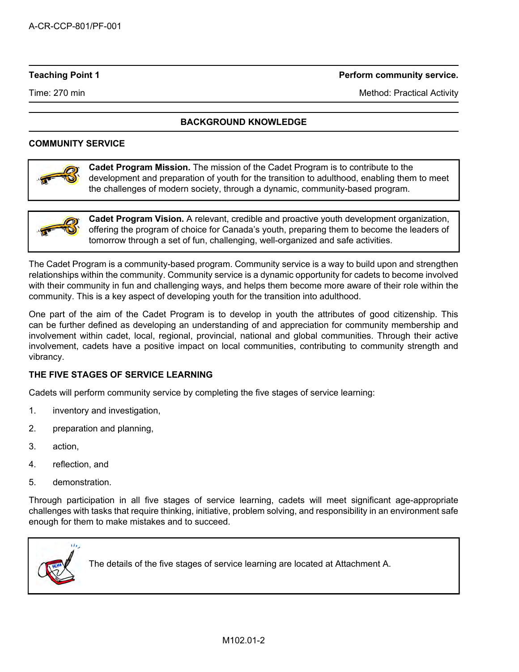Teaching Point 1 **Perform community service.** 

Time: 270 min Method: Practical Activity

# BACKGROUND KNOWLEDGE

# COMMUNITY SERVICE

Cadet Program Mission. The mission of the Cadet Program is to contribute to the development and preparation of youth for the transition to adulthood, enabling them to meet the challenges of modern society, through a dynamic, community-based program.



Cadet Program Vision. A relevant, credible and proactive youth development organization, offering the program of choice for Canada's youth, preparing them to become the leaders of tomorrow through a set of fun, challenging, well-organized and safe activities.

The Cadet Program is a community-based program. Community service is a way to build upon and strengthen relationships within the community. Community service is a dynamic opportunity for cadets to become involved with their community in fun and challenging ways, and helps them become more aware of their role within the community. This is a key aspect of developing youth for the transition into adulthood.

One part of the aim of the Cadet Program is to develop in youth the attributes of good citizenship. This can be further defined as developing an understanding of and appreciation for community membership and involvement within cadet, local, regional, provincial, national and global communities. Through their active involvement, cadets have a positive impact on local communities, contributing to community strength and vibrancy.

# THE FIVE STAGES OF SERVICE LEARNING

Cadets will perform community service by completing the five stages of service learning:

- 1. inventory and investigation,
- 2. preparation and planning,
- 3. action,
- 4. reflection, and
- 5. demonstration.

Through participation in all five stages of service learning, cadets will meet significant age-appropriate challenges with tasks that require thinking, initiative, problem solving, and responsibility in an environment safe enough for them to make mistakes and to succeed.



The details of the five stages of service learning are located at Attachment A.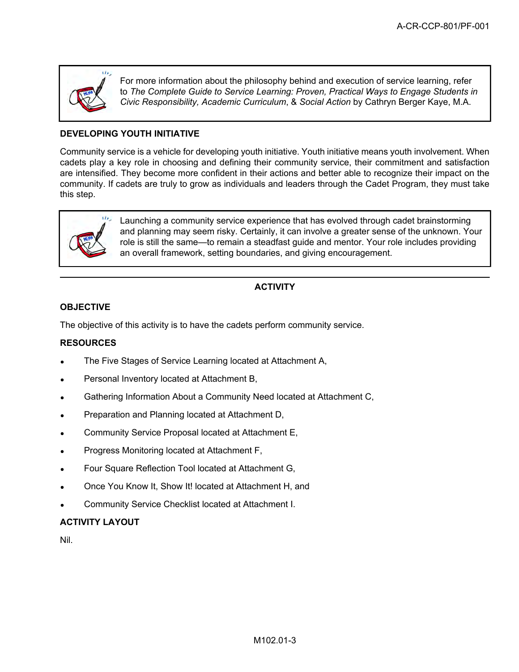

For more information about the philosophy behind and execution of service learning, refer to The Complete Guide to Service Learning: Proven, Practical Ways to Engage Students in Civic Responsibility, Academic Curriculum, & Social Action by Cathryn Berger Kaye, M.A.

# DEVELOPING YOUTH INITIATIVE

Community service is a vehicle for developing youth initiative. Youth initiative means youth involvement. When cadets play a key role in choosing and defining their community service, their commitment and satisfaction are intensified. They become more confident in their actions and better able to recognize their impact on the community. If cadets are truly to grow as individuals and leaders through the Cadet Program, they must take this step.



Launching a community service experience that has evolved through cadet brainstorming and planning may seem risky. Certainly, it can involve a greater sense of the unknown. Your role is still the same—to remain a steadfast guide and mentor. Your role includes providing an overall framework, setting boundaries, and giving encouragement.

# **ACTIVITY**

# **OBJECTIVE**

The objective of this activity is to have the cadets perform community service.

# RESOURCES

- The Five Stages of Service Learning located at Attachment A,
- Personal Inventory located at Attachment B,
- Gathering Information About a Community Need located at Attachment C,
- Preparation and Planning located at Attachment D,
- Community Service Proposal located at Attachment E,
- Progress Monitoring located at Attachment F,
- Four Square Reflection Tool located at Attachment G,
- Once You Know It, Show It! located at Attachment H, and
- Community Service Checklist located at Attachment I.

# ACTIVITY LAYOUT

Nil.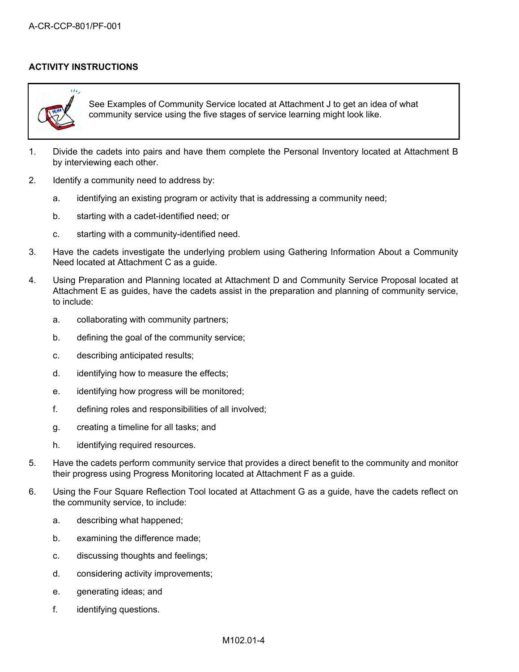# ACTIVITY INSTRUCTIONS



See Examples of Community Service located at Attachment J to get an idea of what community service using the five stages of service learning might look like.

- 1. Divide the cadets into pairs and have them complete the Personal Inventory located at Attachment B by interviewing each other.
- 2. Identify a community need to address by:
	- a. identifying an existing program or activity that is addressing a community need;
	- b. starting with a cadet-identified need; or
	- c. starting with a community-identified need.
- 3. Have the cadets investigate the underlying problem using Gathering Information About a Community Need located at Attachment C as a guide.
- 4. Using Preparation and Planning located at Attachment D and Community Service Proposal located at Attachment E as guides, have the cadets assist in the preparation and planning of community service, to include:
	- a. collaborating with community partners;
	- b. defining the goal of the community service;
	- c. describing anticipated results;
	- d. identifying how to measure the effects;
	- e. identifying how progress will be monitored;
	- f. defining roles and responsibilities of all involved;
	- g. creating a timeline for all tasks; and
	- h. identifying required resources.
- 5. Have the cadets perform community service that provides a direct benefit to the community and monitor their progress using Progress Monitoring located at Attachment F as a guide.
- 6. Using the Four Square Reflection Tool located at Attachment G as a guide, have the cadets reflect on the community service, to include:
	- a. describing what happened;
	- b. examining the difference made;
	- c. discussing thoughts and feelings;
	- d. considering activity improvements;
	- e. generating ideas; and
	- f. identifying questions.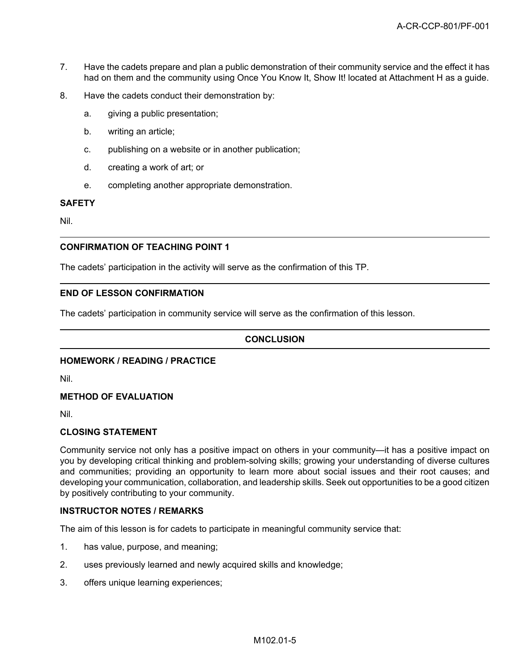- 7. Have the cadets prepare and plan a public demonstration of their community service and the effect it has had on them and the community using Once You Know It, Show It! located at Attachment H as a guide.
- 8. Have the cadets conduct their demonstration by:
	- a. giving a public presentation;
	- b. writing an article;
	- c. publishing on a website or in another publication;
	- d. creating a work of art; or
	- e. completing another appropriate demonstration.

#### **SAFETY**

Nil.

### CONFIRMATION OF TEACHING POINT 1

The cadets' participation in the activity will serve as the confirmation of this TP.

### END OF LESSON CONFIRMATION

The cadets' participation in community service will serve as the confirmation of this lesson.

# **CONCLUSION**

#### HOMEWORK / READING / PRACTICE

Nil.

#### METHOD OF EVALUATION

Nil.

#### CLOSING STATEMENT

Community service not only has a positive impact on others in your community—it has a positive impact on you by developing critical thinking and problem-solving skills; growing your understanding of diverse cultures and communities; providing an opportunity to learn more about social issues and their root causes; and developing your communication, collaboration, and leadership skills. Seek out opportunities to be a good citizen by positively contributing to your community.

#### INSTRUCTOR NOTES / REMARKS

The aim of this lesson is for cadets to participate in meaningful community service that:

- 1. has value, purpose, and meaning;
- 2. uses previously learned and newly acquired skills and knowledge;
- 3. offers unique learning experiences;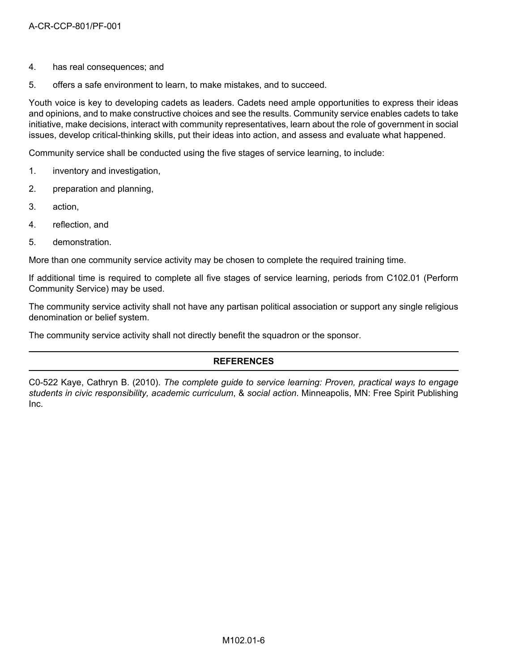- 4. has real consequences; and
- 5. offers a safe environment to learn, to make mistakes, and to succeed.

Youth voice is key to developing cadets as leaders. Cadets need ample opportunities to express their ideas and opinions, and to make constructive choices and see the results. Community service enables cadets to take initiative, make decisions, interact with community representatives, learn about the role of government in social issues, develop critical-thinking skills, put their ideas into action, and assess and evaluate what happened.

Community service shall be conducted using the five stages of service learning, to include:

- 1. inventory and investigation,
- 2. preparation and planning,
- 3. action,
- 4. reflection, and
- 5. demonstration.

More than one community service activity may be chosen to complete the required training time.

If additional time is required to complete all five stages of service learning, periods from C102.01 (Perform Community Service) may be used.

The community service activity shall not have any partisan political association or support any single religious denomination or belief system.

The community service activity shall not directly benefit the squadron or the sponsor.

# **REFERENCES**

C0-522 Kaye, Cathryn B. (2010). The complete guide to service learning: Proven, practical ways to engage students in civic responsibility, academic curriculum, & social action. Minneapolis, MN: Free Spirit Publishing Inc.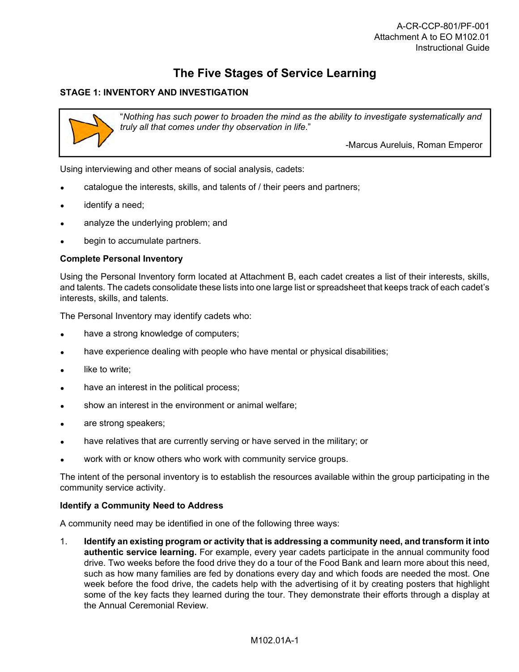# The Five Stages of Service Learning

# STAGE 1: INVENTORY AND INVESTIGATION



"Nothing has such power to broaden the mind as the ability to investigate systematically and truly all that comes under thy observation in life."

-Marcus Aureluis, Roman Emperor

Using interviewing and other means of social analysis, cadets:

- catalogue the interests, skills, and talents of / their peers and partners;
- identify a need;
- analyze the underlying problem; and
- begin to accumulate partners.

### Complete Personal Inventory

Using the Personal Inventory form located at Attachment B, each cadet creates a list of their interests, skills, and talents. The cadets consolidate these lists into one large list or spreadsheet that keeps track of each cadet's interests, skills, and talents.

The Personal Inventory may identify cadets who:

- have a strong knowledge of computers;
- have experience dealing with people who have mental or physical disabilities;
- like to write;
- have an interest in the political process;
- show an interest in the environment or animal welfare;
- are strong speakers;
- have relatives that are currently serving or have served in the military; or
- work with or know others who work with community service groups.

The intent of the personal inventory is to establish the resources available within the group participating in the community service activity.

#### Identify a Community Need to Address

A community need may be identified in one of the following three ways:

1. Identify an existing program or activity that is addressing a community need, and transform it into authentic service learning. For example, every year cadets participate in the annual community food drive. Two weeks before the food drive they do a tour of the Food Bank and learn more about this need, such as how many families are fed by donations every day and which foods are needed the most. One week before the food drive, the cadets help with the advertising of it by creating posters that highlight some of the key facts they learned during the tour. They demonstrate their efforts through a display at the Annual Ceremonial Review.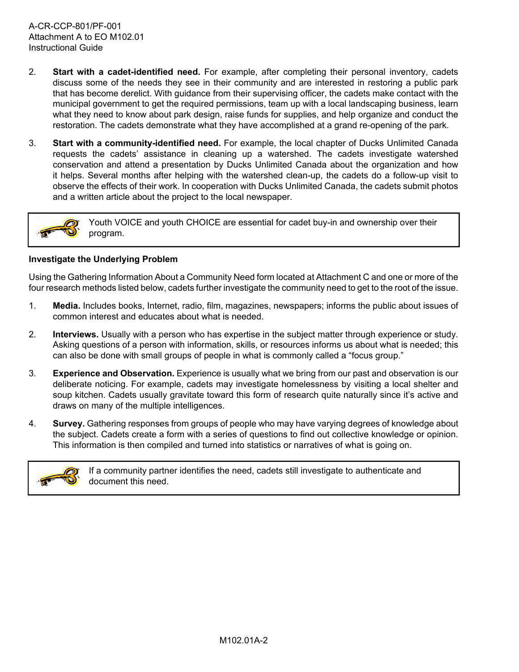A-CR-CCP-801/PF-001 Attachment A to EO M102.01 Instructional Guide

- 2. Start with a cadet-identified need. For example, after completing their personal inventory, cadets discuss some of the needs they see in their community and are interested in restoring a public park that has become derelict. With guidance from their supervising officer, the cadets make contact with the municipal government to get the required permissions, team up with a local landscaping business, learn what they need to know about park design, raise funds for supplies, and help organize and conduct the restoration. The cadets demonstrate what they have accomplished at a grand re-opening of the park.
- 3. Start with a community-identified need. For example, the local chapter of Ducks Unlimited Canada requests the cadets' assistance in cleaning up a watershed. The cadets investigate watershed conservation and attend a presentation by Ducks Unlimited Canada about the organization and how it helps. Several months after helping with the watershed clean-up, the cadets do a follow-up visit to observe the effects of their work. In cooperation with Ducks Unlimited Canada, the cadets submit photos and a written article about the project to the local newspaper.



Youth VOICE and youth CHOICE are essential for cadet buy-in and ownership over their program.

# Investigate the Underlying Problem

Using the Gathering Information About a Community Need form located at Attachment C and one or more of the four research methods listed below, cadets further investigate the community need to get to the root of the issue.

- 1. Media. Includes books, Internet, radio, film, magazines, newspapers; informs the public about issues of common interest and educates about what is needed.
- 2. Interviews. Usually with a person who has expertise in the subject matter through experience or study. Asking questions of a person with information, skills, or resources informs us about what is needed; this can also be done with small groups of people in what is commonly called a "focus group."
- 3. Experience and Observation. Experience is usually what we bring from our past and observation is our deliberate noticing. For example, cadets may investigate homelessness by visiting a local shelter and soup kitchen. Cadets usually gravitate toward this form of research quite naturally since it's active and draws on many of the multiple intelligences.
- 4. Survey. Gathering responses from groups of people who may have varying degrees of knowledge about the subject. Cadets create a form with a series of questions to find out collective knowledge or opinion. This information is then compiled and turned into statistics or narratives of what is going on.



If a community partner identifies the need, cadets still investigate to authenticate and document this need.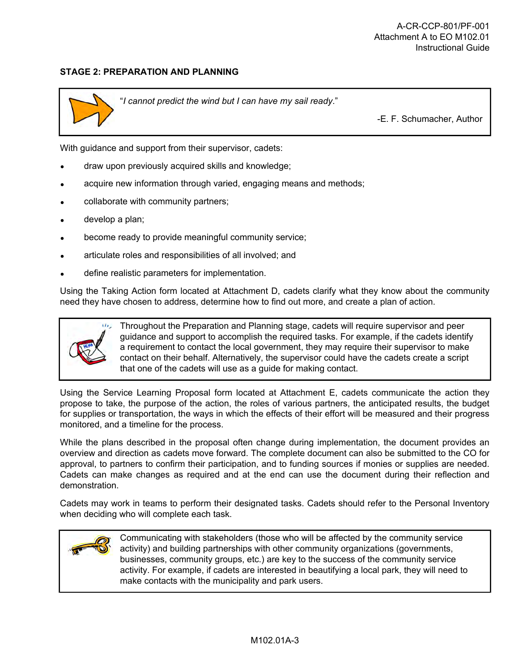# A-CR-CCP-801/PF-001 Attachment A to EO M102.01 Instructional Guide

# STAGE 2: PREPARATION AND PLANNING



"I cannot predict the wind but I can have my sail ready."

-E. F. Schumacher, Author

With quidance and support from their supervisor, cadets:

- draw upon previously acquired skills and knowledge;
- acquire new information through varied, engaging means and methods;
- collaborate with community partners;
- develop a plan;
- become ready to provide meaningful community service;
- articulate roles and responsibilities of all involved; and
- define realistic parameters for implementation.

Using the Taking Action form located at Attachment D, cadets clarify what they know about the community need they have chosen to address, determine how to find out more, and create a plan of action.



Throughout the Preparation and Planning stage, cadets will require supervisor and peer guidance and support to accomplish the required tasks. For example, if the cadets identify a requirement to contact the local government, they may require their supervisor to make contact on their behalf. Alternatively, the supervisor could have the cadets create a script that one of the cadets will use as a guide for making contact.

Using the Service Learning Proposal form located at Attachment E, cadets communicate the action they propose to take, the purpose of the action, the roles of various partners, the anticipated results, the budget for supplies or transportation, the ways in which the effects of their effort will be measured and their progress monitored, and a timeline for the process.

While the plans described in the proposal often change during implementation, the document provides an overview and direction as cadets move forward. The complete document can also be submitted to the CO for approval, to partners to confirm their participation, and to funding sources if monies or supplies are needed. Cadets can make changes as required and at the end can use the document during their reflection and demonstration.

Cadets may work in teams to perform their designated tasks. Cadets should refer to the Personal Inventory when deciding who will complete each task.



Communicating with stakeholders (those who will be affected by the community service activity) and building partnerships with other community organizations (governments, businesses, community groups, etc.) are key to the success of the community service activity. For example, if cadets are interested in beautifying a local park, they will need to make contacts with the municipality and park users.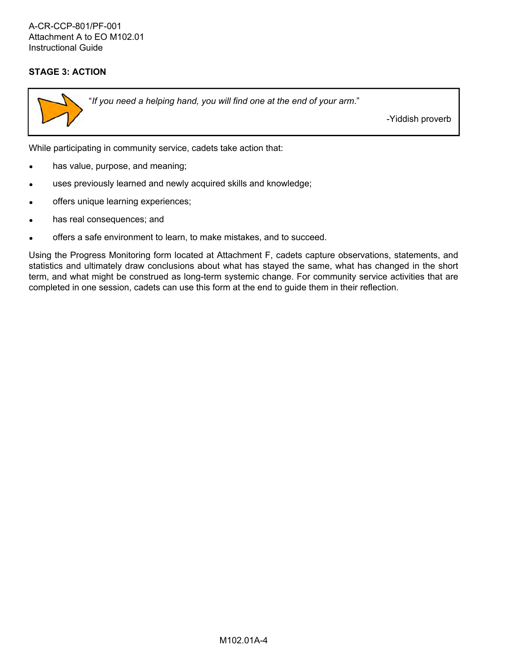# STAGE 3: ACTION

"If you need a helping hand, you will find one at the end of your arm."

-Yiddish proverb

While participating in community service, cadets take action that:

- has value, purpose, and meaning;
- uses previously learned and newly acquired skills and knowledge;
- offers unique learning experiences;  $\bullet$
- has real consequences; and
- offers a safe environment to learn, to make mistakes, and to succeed.

Using the Progress Monitoring form located at Attachment F, cadets capture observations, statements, and statistics and ultimately draw conclusions about what has stayed the same, what has changed in the short term, and what might be construed as long-term systemic change. For community service activities that are completed in one session, cadets can use this form at the end to guide them in their reflection.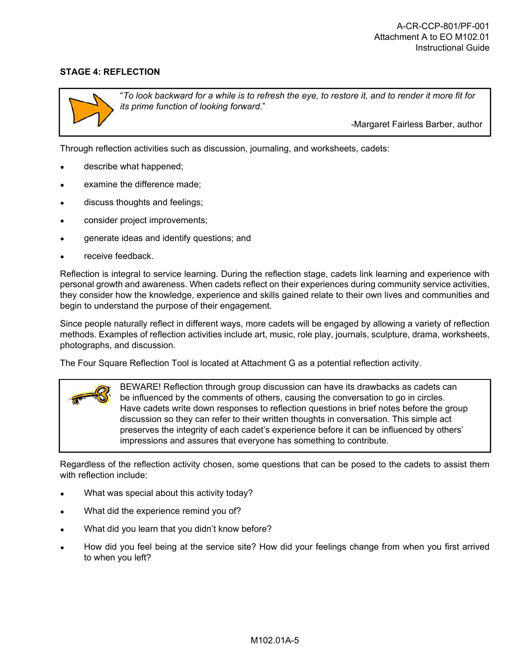# STAGE 4: REFLECTION



"To look backward for a while is to refresh the eye, to restore it, and to render it more fit for its prime function of looking forward."

-Margaret Fairless Barber, author

Through reflection activities such as discussion, journaling, and worksheets, cadets:

- describe what happened;
- examine the difference made;
- discuss thoughts and feelings;  $\bullet$
- consider project improvements;  $\bullet$
- generate ideas and identify questions; and  $\bullet$
- receive feedback.

Reflection is integral to service learning. During the reflection stage, cadets link learning and experience with personal growth and awareness. When cadets reflect on their experiences during community service activities, they consider how the knowledge, experience and skills gained relate to their own lives and communities and begin to understand the purpose of their engagement.

Since people naturally reflect in different ways, more cadets will be engaged by allowing a variety of reflection methods. Examples of reflection activities include art, music, role play, journals, sculpture, drama, worksheets, photographs, and discussion.

The Four Square Reflection Tool is located at Attachment G as a potential reflection activity.

BEWARE! Reflection through group discussion can have its drawbacks as cadets can be influenced by the comments of others, causing the conversation to go in circles. Have cadets write down responses to reflection questions in brief notes before the group discussion so they can refer to their written thoughts in conversation. This simple act preserves the integrity of each cadet's experience before it can be influenced by others' impressions and assures that everyone has something to contribute.

Regardless of the reflection activity chosen, some questions that can be posed to the cadets to assist them with reflection include:

- What was special about this activity today?
- What did the experience remind you of?
- What did you learn that you didn't know before?
- How did you feel being at the service site? How did your feelings change from when you first arrived to when you left?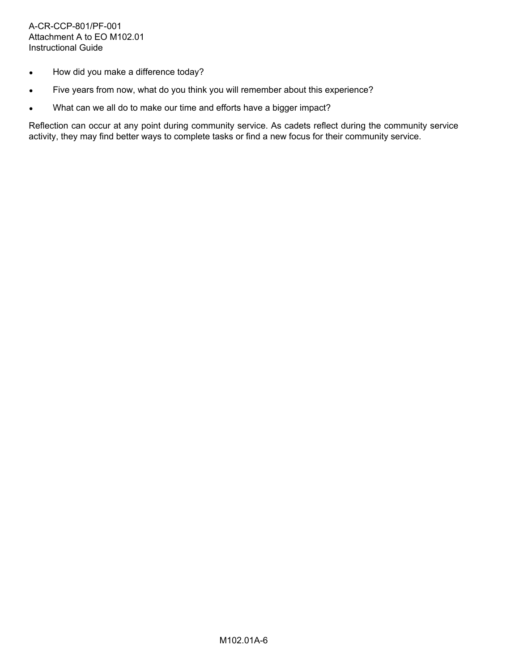A-CR-CCP-801/PF-001 Attachment A to EO M102.01 Instructional Guide

- How did you make a difference today?  $\bullet$
- Five years from now, what do you think you will remember about this experience?  $\bullet$
- What can we all do to make our time and efforts have a bigger impact?  $\bullet$

Reflection can occur at any point during community service. As cadets reflect during the community service activity, they may find better ways to complete tasks or find a new focus for their community service.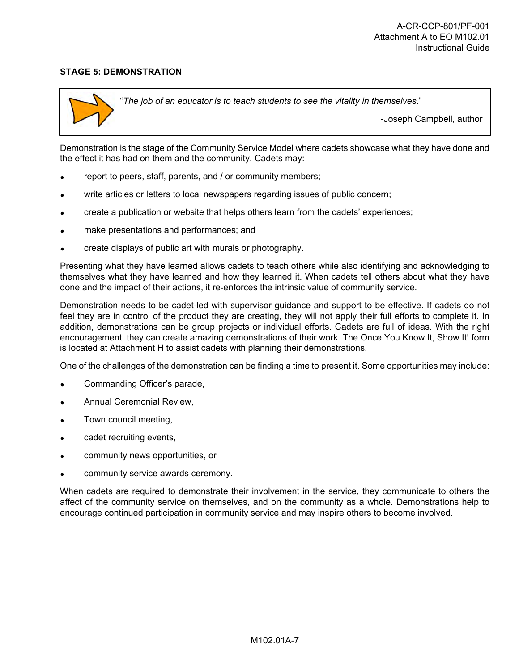# STAGE 5: DEMONSTRATION



"The job of an educator is to teach students to see the vitality in themselves."

-Joseph Campbell, author

Demonstration is the stage of the Community Service Model where cadets showcase what they have done and the effect it has had on them and the community. Cadets may:

- report to peers, staff, parents, and / or community members;
- write articles or letters to local newspapers regarding issues of public concern;
- create a publication or website that helps others learn from the cadets' experiences;
- make presentations and performances; and
- create displays of public art with murals or photography.

Presenting what they have learned allows cadets to teach others while also identifying and acknowledging to themselves what they have learned and how they learned it. When cadets tell others about what they have done and the impact of their actions, it re-enforces the intrinsic value of community service.

Demonstration needs to be cadet-led with supervisor guidance and support to be effective. If cadets do not feel they are in control of the product they are creating, they will not apply their full efforts to complete it. In addition, demonstrations can be group projects or individual efforts. Cadets are full of ideas. With the right encouragement, they can create amazing demonstrations of their work. The Once You Know It, Show It! form is located at Attachment H to assist cadets with planning their demonstrations.

One of the challenges of the demonstration can be finding a time to present it. Some opportunities may include:

- Commanding Officer's parade,
- Annual Ceremonial Review,
- Town council meeting,
- cadet recruiting events,  $\bullet$
- community news opportunities, or  $\bullet$
- community service awards ceremony.  $\bullet$

When cadets are required to demonstrate their involvement in the service, they communicate to others the affect of the community service on themselves, and on the community as a whole. Demonstrations help to encourage continued participation in community service and may inspire others to become involved.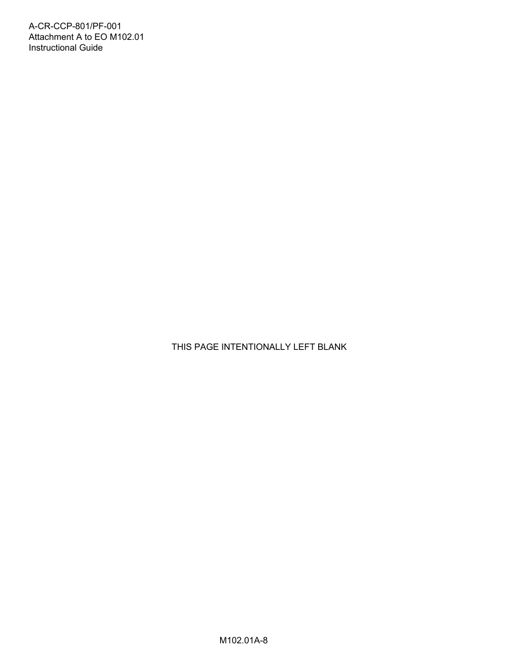A-CR-CCP-801/PF-001 Attachment A to EO M102.01 Instructional Guide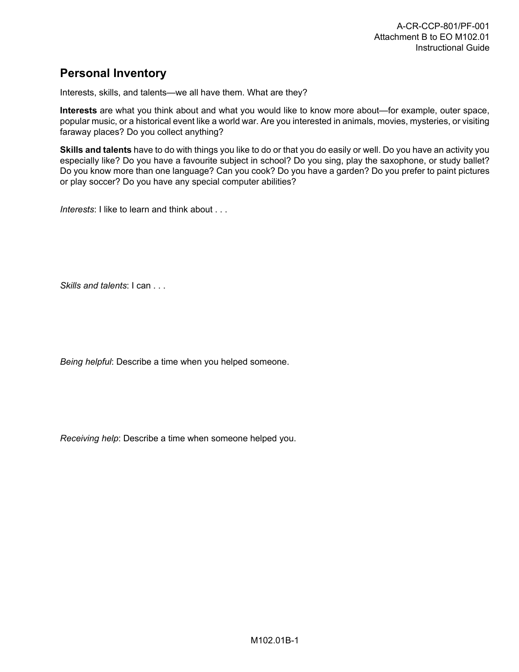# Personal Inventory

Interests, skills, and talents—we all have them. What are they?

Interests are what you think about and what you would like to know more about—for example, outer space, popular music, or a historical event like a world war. Are you interested in animals, movies, mysteries, or visiting faraway places? Do you collect anything?

Skills and talents have to do with things you like to do or that you do easily or well. Do you have an activity you especially like? Do you have a favourite subject in school? Do you sing, play the saxophone, or study ballet? Do you know more than one language? Can you cook? Do you have a garden? Do you prefer to paint pictures or play soccer? Do you have any special computer abilities?

Interests: I like to learn and think about . . .

Skills and talents: I can . . .

Being helpful: Describe a time when you helped someone.

Receiving help: Describe a time when someone helped you.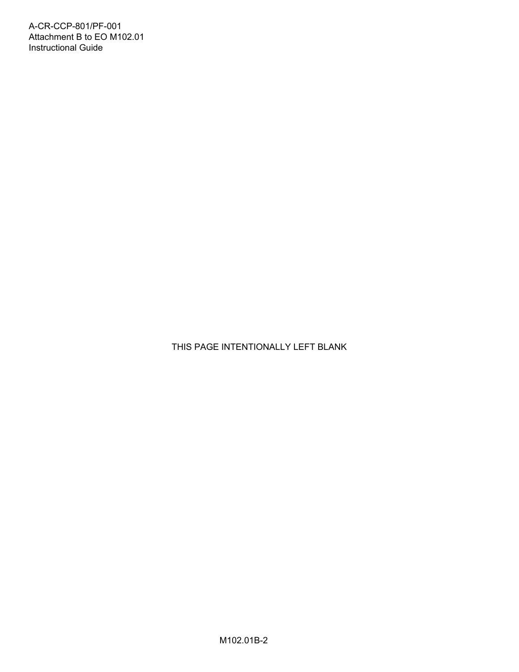A-CR-CCP-801/PF-001 Attachment B to EO M102.01 Instructional Guide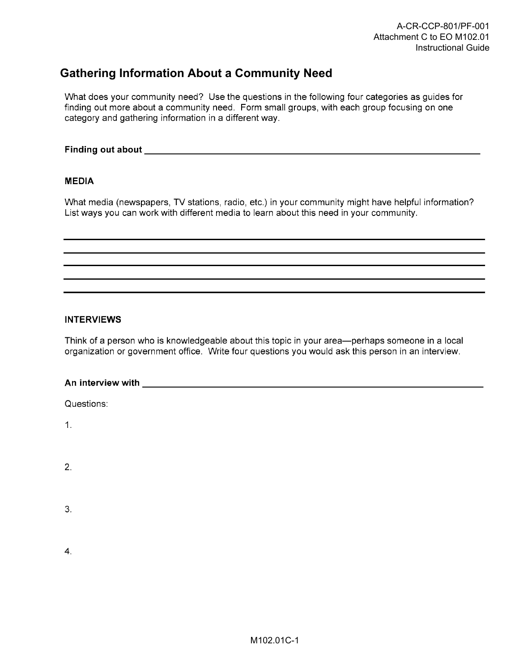# Gathering Information About a Community Need

What does your community need? Use the questions in the following four categories as guides for finding out more about a community need. Form small groups, with each group focusing on one category and gathering information in a different way.

Finding out about the contract of the contract of the contract of the contract of the contract of the contract of the contract of the contract of the contract of the contract of the contract of the contract of the contract

# **MEDIA**

What media (newspapers, TV stations, radio, etc.) in your community might have helpful information? List ways you can work with different media to learn about this need in your community.

# **INTERVIEWS**

Think of a person who is knowledgeable about this topic in your area-perhaps someone in a local organization or government office. Write four questions you would ask this person in an interview.

# An interview with the state of the state of the state of the state of the state of the state of the state of the state of the state of the state of the state of the state of the state of the state of the state of the state

Questions:

 $1<sub>1</sub>$ 

 $2.$ 

- $3.$
- $\mathbf{4}$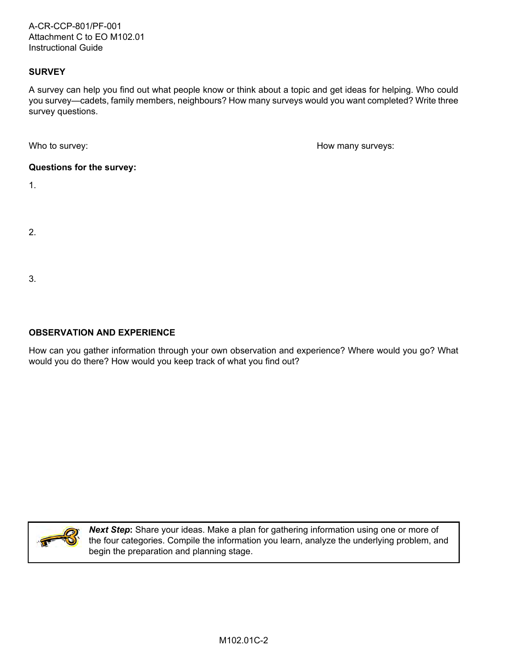A-CR-CCP-801/PF-001 Attachment C to EO M102.01 Instructional Guide

# **SURVEY**

A survey can help you find out what people know or think about a topic and get ideas for helping. Who could you survey—cadets, family members, neighbours? How many surveys would you want completed? Write three survey questions.

Who to survey:  $\blacksquare$  How many surveys:

# Questions for the survey:

1.

2.

3.

# OBSERVATION AND EXPERIENCE

How can you gather information through your own observation and experience? Where would you go? What would you do there? How would you keep track of what you find out?



Next Step: Share your ideas. Make a plan for gathering information using one or more of the four categories. Compile the information you learn, analyze the underlying problem, and begin the preparation and planning stage.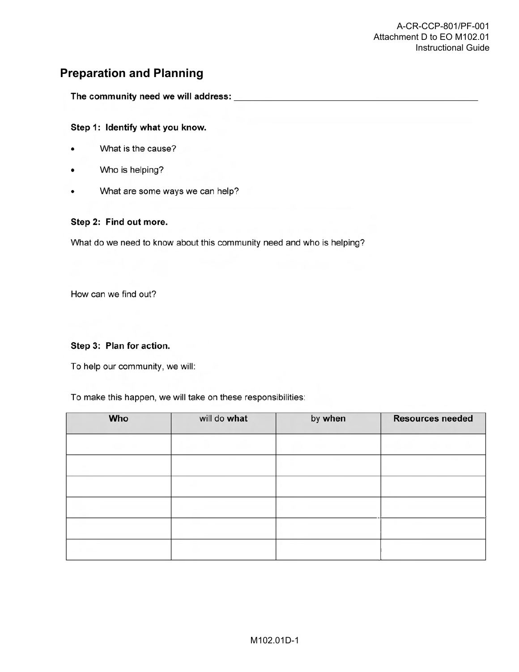# Preparation and Planning

The community need we will address:

# Step 1: Identify what you know.

- What is the cause?  $\bullet$
- Who is helping?  $\bullet$
- What are some ways we can help?

# Step 2: Find out more.

What do we need to know about this community need and who is helping?

How can we find out?

# Step 3: Plan for action.

To help our community, we will:

To make this happen, we will take on these responsibilities:

| Who | will do what | by when | <b>Resources needed</b> |
|-----|--------------|---------|-------------------------|
|     |              |         |                         |
|     |              |         |                         |
|     |              |         |                         |
|     |              |         |                         |
|     |              |         |                         |
|     |              |         |                         |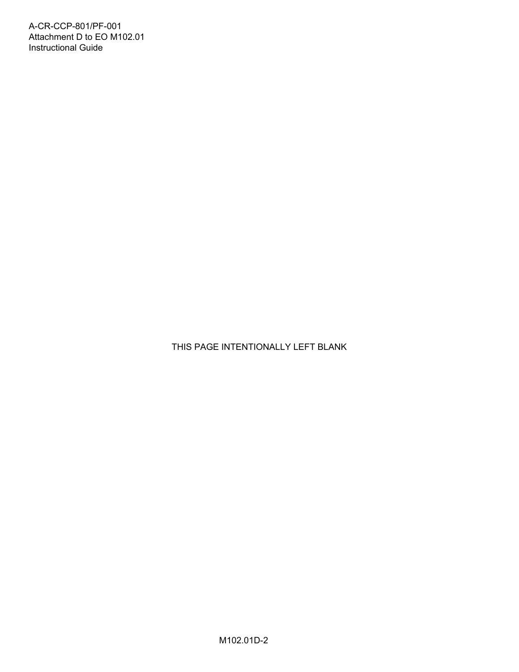A-CR-CCP-801/PF-001 Attachment D to EO M102.01 Instructional Guide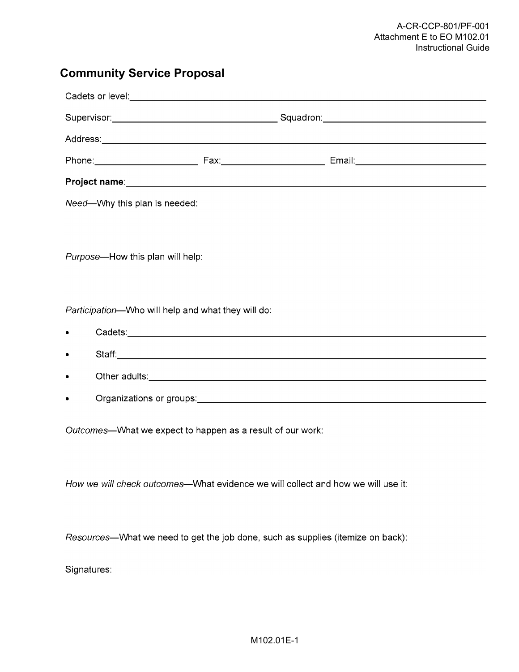# Community Service Proposal

| Need-Why this plan is needed:                                                    |  |                                                                                                                                                                                                                                      |  |  |  |  |
|----------------------------------------------------------------------------------|--|--------------------------------------------------------------------------------------------------------------------------------------------------------------------------------------------------------------------------------------|--|--|--|--|
|                                                                                  |  |                                                                                                                                                                                                                                      |  |  |  |  |
|                                                                                  |  |                                                                                                                                                                                                                                      |  |  |  |  |
| Purpose-How this plan will help:                                                 |  |                                                                                                                                                                                                                                      |  |  |  |  |
|                                                                                  |  |                                                                                                                                                                                                                                      |  |  |  |  |
|                                                                                  |  |                                                                                                                                                                                                                                      |  |  |  |  |
| Participation-Who will help and what they will do:                               |  |                                                                                                                                                                                                                                      |  |  |  |  |
|                                                                                  |  |                                                                                                                                                                                                                                      |  |  |  |  |
|                                                                                  |  |                                                                                                                                                                                                                                      |  |  |  |  |
|                                                                                  |  | Other adults: <u>example and the set of the set of the set of the set of the set of the set of the set of the set of the set of the set of the set of the set of the set of the set of the set of the set of the set of the set </u> |  |  |  |  |
|                                                                                  |  |                                                                                                                                                                                                                                      |  |  |  |  |
| Outcomes-What we expect to happen as a result of our work:                       |  |                                                                                                                                                                                                                                      |  |  |  |  |
|                                                                                  |  |                                                                                                                                                                                                                                      |  |  |  |  |
|                                                                                  |  |                                                                                                                                                                                                                                      |  |  |  |  |
| How we will check outcomes—What evidence we will collect and how we will use it: |  |                                                                                                                                                                                                                                      |  |  |  |  |
|                                                                                  |  |                                                                                                                                                                                                                                      |  |  |  |  |
|                                                                                  |  |                                                                                                                                                                                                                                      |  |  |  |  |

Resources-What we need to get the job done, such as supplies (itemize on back):

Signatures: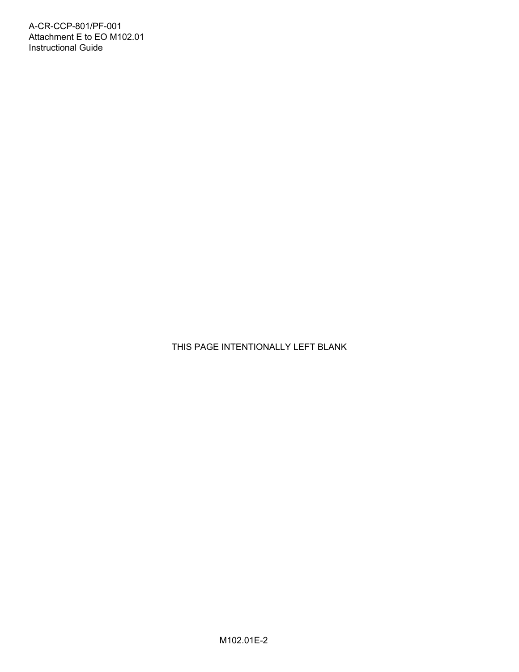A-CR-CCP-801/PF-001 Attachment E to EO M102.01 Instructional Guide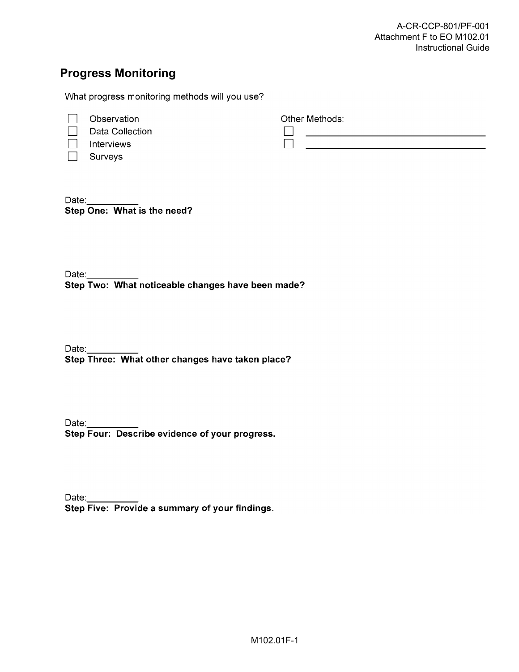<u> 1989 - Johann Barbara, martxa alemaniar a</u>

# Progress Monitoring

What progress monitoring methods will you use?

 $\Box$  Observation

 $\Box$  Data Collection

 $\Box$  Interviews

 $\Box$  Surveys

Other Methods: 

 $\overline{\overline{\Pi}}$ 

Date: **Date** Step One: What is the need?

Date: **Date:** Step Two: What noticeable changes have been made?

Date: **Date** Step Three: What other changes have taken place?

Date: Step Four: Describe evidence of your progress.

Date: Date: Step Five: Provide a summary of your findings.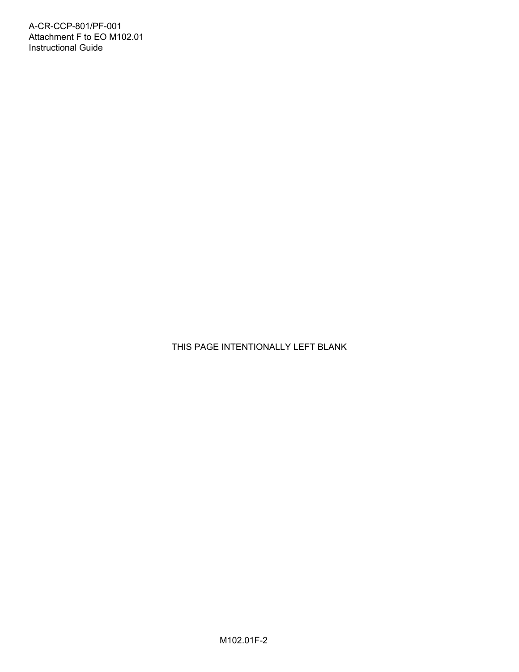A-CR-CCP-801/PF-001 Attachment F to EO M102.01 Instructional Guide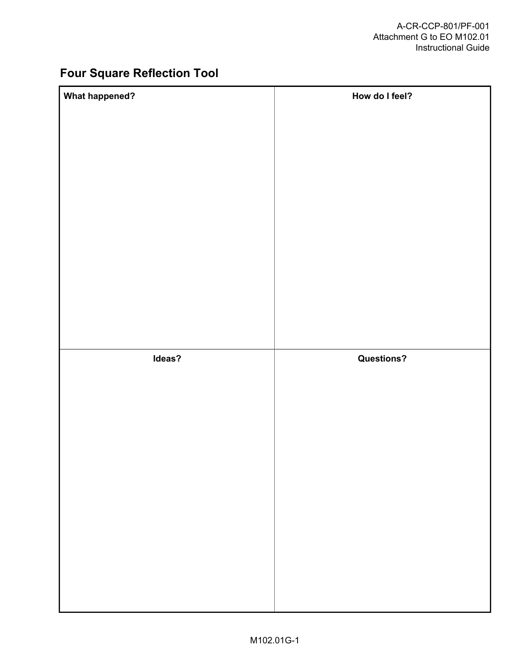| <b>What happened?</b> | How do I feel?    |
|-----------------------|-------------------|
|                       |                   |
|                       |                   |
| Ideas?                | <b>Questions?</b> |
|                       |                   |
|                       |                   |
|                       |                   |

# Four Square Reflection Tool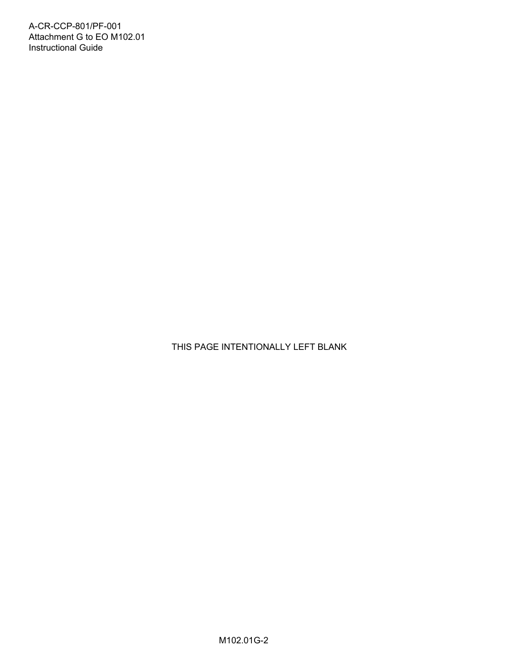A-CR-CCP-801/PF-001 Attachment G to EO M102.01 Instructional Guide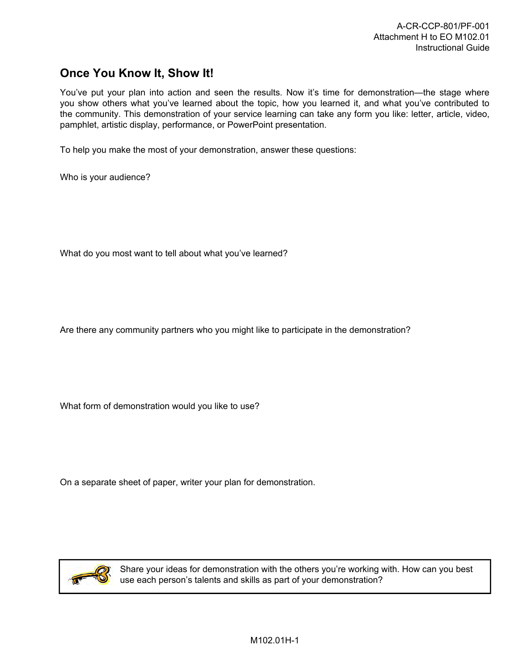# Once You Know It, Show It!

You've put your plan into action and seen the results. Now it's time for demonstration—the stage where you show others what you've learned about the topic, how you learned it, and what you've contributed to the community. This demonstration of your service learning can take any form you like: letter, article, video, pamphlet, artistic display, performance, or PowerPoint presentation.

To help you make the most of your demonstration, answer these questions:

Who is your audience?

What do you most want to tell about what you've learned?

Are there any community partners who you might like to participate in the demonstration?

What form of demonstration would you like to use?

On a separate sheet of paper, writer your plan for demonstration.



Share your ideas for demonstration with the others you're working with. How can you best use each person's talents and skills as part of your demonstration?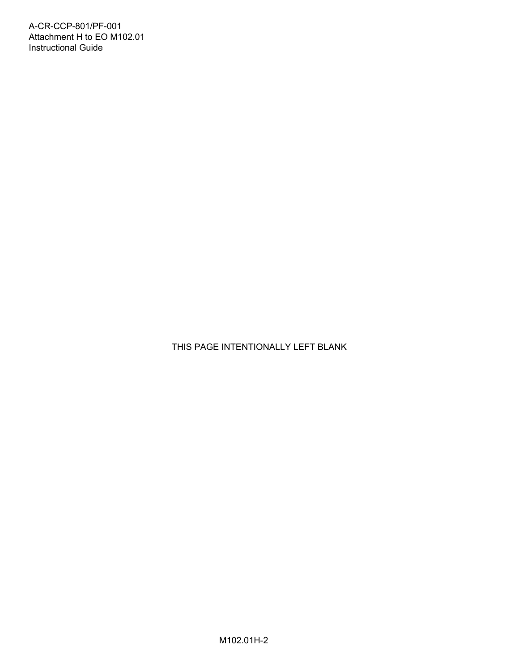A-CR-CCP-801/PF-001 Attachment H to EO M102.01 Instructional Guide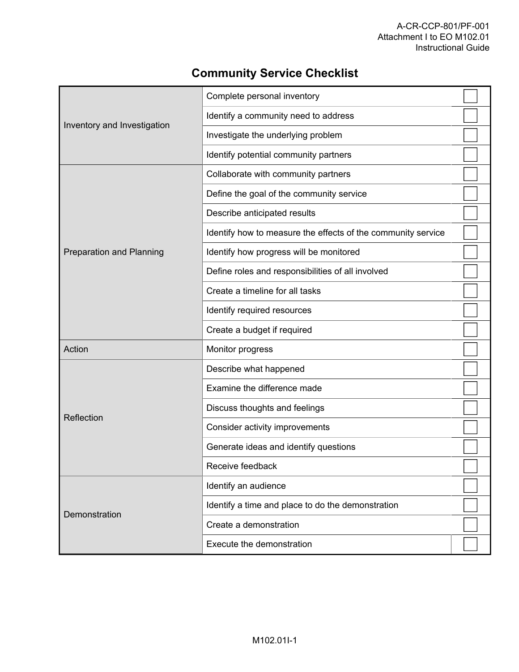# A-CR-CCP-801/PF-001 Attachment I to EO M102.01 Instructional Guide

# Community Service Checklist

|                                 | Complete personal inventory                                  |  |
|---------------------------------|--------------------------------------------------------------|--|
|                                 | Identify a community need to address                         |  |
| Inventory and Investigation     | Investigate the underlying problem                           |  |
|                                 | Identify potential community partners                        |  |
| <b>Preparation and Planning</b> | Collaborate with community partners                          |  |
|                                 | Define the goal of the community service                     |  |
|                                 | Describe anticipated results                                 |  |
|                                 | Identify how to measure the effects of the community service |  |
|                                 | Identify how progress will be monitored                      |  |
|                                 | Define roles and responsibilities of all involved            |  |
|                                 | Create a timeline for all tasks                              |  |
|                                 | Identify required resources                                  |  |
|                                 | Create a budget if required                                  |  |
| Action                          | Monitor progress                                             |  |
|                                 | Describe what happened                                       |  |
|                                 | Examine the difference made                                  |  |
|                                 | Discuss thoughts and feelings                                |  |
| Reflection                      | Consider activity improvements                               |  |
|                                 | Generate ideas and identify questions                        |  |
|                                 | Receive feedback                                             |  |
|                                 | Identify an audience                                         |  |
| Demonstration                   | Identify a time and place to do the demonstration            |  |
|                                 | Create a demonstration                                       |  |
|                                 | Execute the demonstration                                    |  |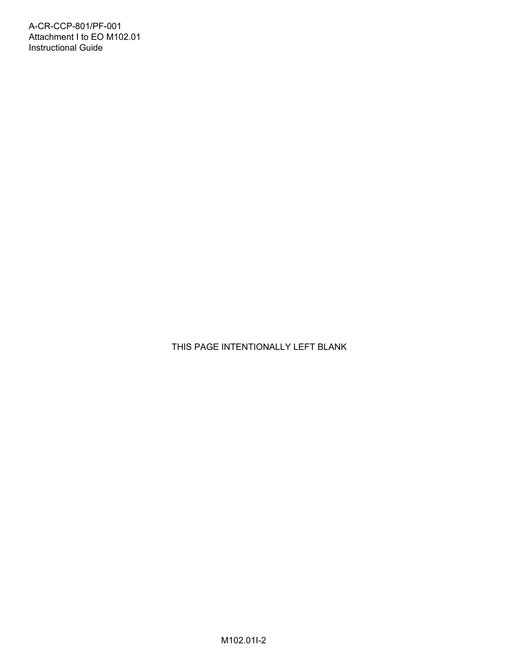A-CR-CCP-801/PF-001 Attachment I to EO M102.01 Instructional Guide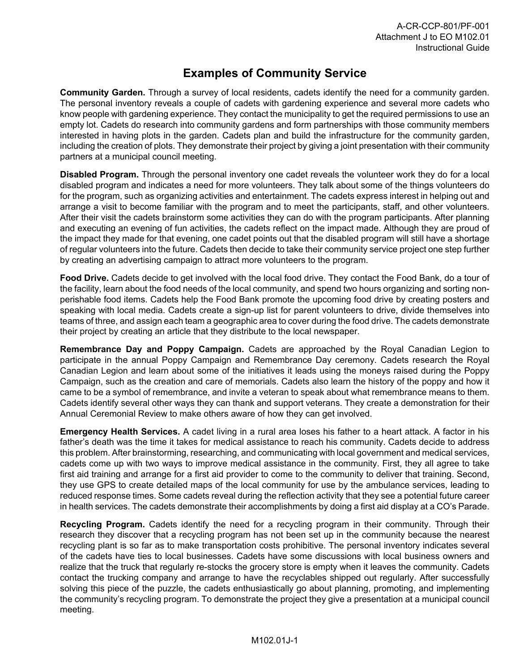# Examples of Community Service

Community Garden. Through a survey of local residents, cadets identify the need for a community garden. The personal inventory reveals a couple of cadets with gardening experience and several more cadets who know people with gardening experience. They contact the municipality to get the required permissions to use an empty lot. Cadets do research into community gardens and form partnerships with those community members interested in having plots in the garden. Cadets plan and build the infrastructure for the community garden, including the creation of plots. They demonstrate their project by giving a joint presentation with their community partners at a municipal council meeting.

Disabled Program. Through the personal inventory one cadet reveals the volunteer work they do for a local disabled program and indicates a need for more volunteers. They talk about some of the things volunteers do for the program, such as organizing activities and entertainment. The cadets express interest in helping out and arrange a visit to become familiar with the program and to meet the participants, staff, and other volunteers. After their visit the cadets brainstorm some activities they can do with the program participants. After planning and executing an evening of fun activities, the cadets reflect on the impact made. Although they are proud of the impact they made for that evening, one cadet points out that the disabled program will still have a shortage of regular volunteers into the future. Cadets then decide to take their community service project one step further by creating an advertising campaign to attract more volunteers to the program.

Food Drive. Cadets decide to get involved with the local food drive. They contact the Food Bank, do a tour of the facility, learn about the food needs of the local community, and spend two hours organizing and sorting nonperishable food items. Cadets help the Food Bank promote the upcoming food drive by creating posters and speaking with local media. Cadets create a sign-up list for parent volunteers to drive, divide themselves into teams of three, and assign each team a geographic area to cover during the food drive. The cadets demonstrate their project by creating an article that they distribute to the local newspaper.

Remembrance Day and Poppy Campaign. Cadets are approached by the Royal Canadian Legion to participate in the annual Poppy Campaign and Remembrance Day ceremony. Cadets research the Royal Canadian Legion and learn about some of the initiatives it leads using the moneys raised during the Poppy Campaign, such as the creation and care of memorials. Cadets also learn the history of the poppy and how it came to be a symbol of remembrance, and invite a veteran to speak about what remembrance means to them. Cadets identify several other ways they can thank and support veterans. They create a demonstration for their Annual Ceremonial Review to make others aware of how they can get involved.

Emergency Health Services. A cadet living in a rural area loses his father to a heart attack. A factor in his father's death was the time it takes for medical assistance to reach his community. Cadets decide to address this problem. After brainstorming, researching, and communicating with local government and medical services, cadets come up with two ways to improve medical assistance in the community. First, they all agree to take first aid training and arrange for a first aid provider to come to the community to deliver that training. Second, they use GPS to create detailed maps of the local community for use by the ambulance services, leading to reduced response times. Some cadets reveal during the reflection activity that they see a potential future career in health services. The cadets demonstrate their accomplishments by doing a first aid display at a CO's Parade.

Recycling Program. Cadets identify the need for a recycling program in their community. Through their research they discover that a recycling program has not been set up in the community because the nearest recycling plant is so far as to make transportation costs prohibitive. The personal inventory indicates several of the cadets have ties to local businesses. Cadets have some discussions with local business owners and realize that the truck that regularly re-stocks the grocery store is empty when it leaves the community. Cadets contact the trucking company and arrange to have the recyclables shipped out regularly. After successfully solving this piece of the puzzle, the cadets enthusiastically go about planning, promoting, and implementing the community's recycling program. To demonstrate the project they give a presentation at a municipal council meeting.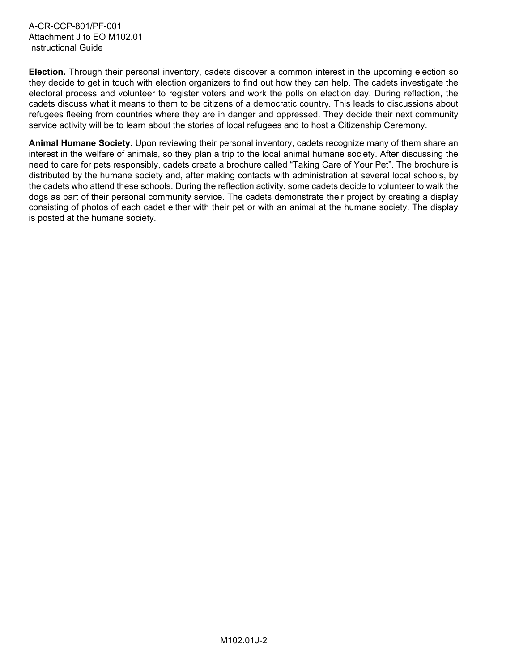A-CR-CCP-801/PF-001 Attachment J to EO M102.01 Instructional Guide

Election. Through their personal inventory, cadets discover a common interest in the upcoming election so they decide to get in touch with election organizers to find out how they can help. The cadets investigate the electoral process and volunteer to register voters and work the polls on election day. During reflection, the cadets discuss what it means to them to be citizens of a democratic country. This leads to discussions about refugees fleeing from countries where they are in danger and oppressed. They decide their next community service activity will be to learn about the stories of local refugees and to host a Citizenship Ceremony.

Animal Humane Society. Upon reviewing their personal inventory, cadets recognize many of them share an interest in the welfare of animals, so they plan a trip to the local animal humane society. After discussing the need to care for pets responsibly, cadets create a brochure called "Taking Care of Your Pet". The brochure is distributed by the humane society and, after making contacts with administration at several local schools, by the cadets who attend these schools. During the reflection activity, some cadets decide to volunteer to walk the dogs as part of their personal community service. The cadets demonstrate their project by creating a display consisting of photos of each cadet either with their pet or with an animal at the humane society. The display is posted at the humane society.